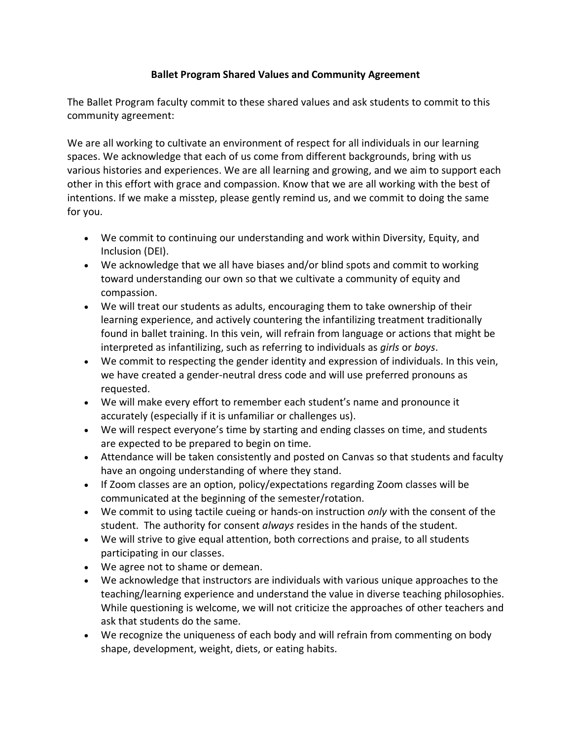## **Ballet Program Shared Values and Community Agreement**

The Ballet Program faculty commit to these shared values and ask students to commit to this community agreement:

We are all working to cultivate an environment of respect for all individuals in our learning spaces. We acknowledge that each of us come from different backgrounds, bring with us various histories and experiences. We are all learning and growing, and we aim to support each other in this effort with grace and compassion. Know that we are all working with the best of intentions. If we make a misstep, please gently remind us, and we commit to doing the same for you.

- We commit to continuing our understanding and work within Diversity, Equity, and Inclusion (DEI).
- We acknowledge that we all have biases and/or blind spots and commit to working toward understanding our own so that we cultivate a community of equity and compassion.
- We will treat our students as adults, encouraging them to take ownership of their learning experience, and actively countering the infantilizing treatment traditionally found in ballet training. In this vein, will refrain from language or actions that might be interpreted as infantilizing, such as referring to individuals as *girls* or *boys*.
- We commit to respecting the gender identity and expression of individuals. In this vein, we have created a gender-neutral dress code and will use preferred pronouns as requested.
- We will make every effort to remember each student's name and pronounce it accurately (especially if it is unfamiliar or challenges us).
- We will respect everyone's time by starting and ending classes on time, and students are expected to be prepared to begin on time.
- Attendance will be taken consistently and posted on Canvas so that students and faculty have an ongoing understanding of where they stand.
- If Zoom classes are an option, policy/expectations regarding Zoom classes will be communicated at the beginning of the semester/rotation.
- We commit to using tactile cueing or hands-on instruction *only* with the consent of the student. The authority for consent *always* resides in the hands of the student.
- We will strive to give equal attention, both corrections and praise, to all students participating in our classes.
- We agree not to shame or demean.
- We acknowledge that instructors are individuals with various unique approaches to the teaching/learning experience and understand the value in diverse teaching philosophies. While questioning is welcome, we will not criticize the approaches of other teachers and ask that students do the same.
- We recognize the uniqueness of each body and will refrain from commenting on body shape, development, weight, diets, or eating habits.